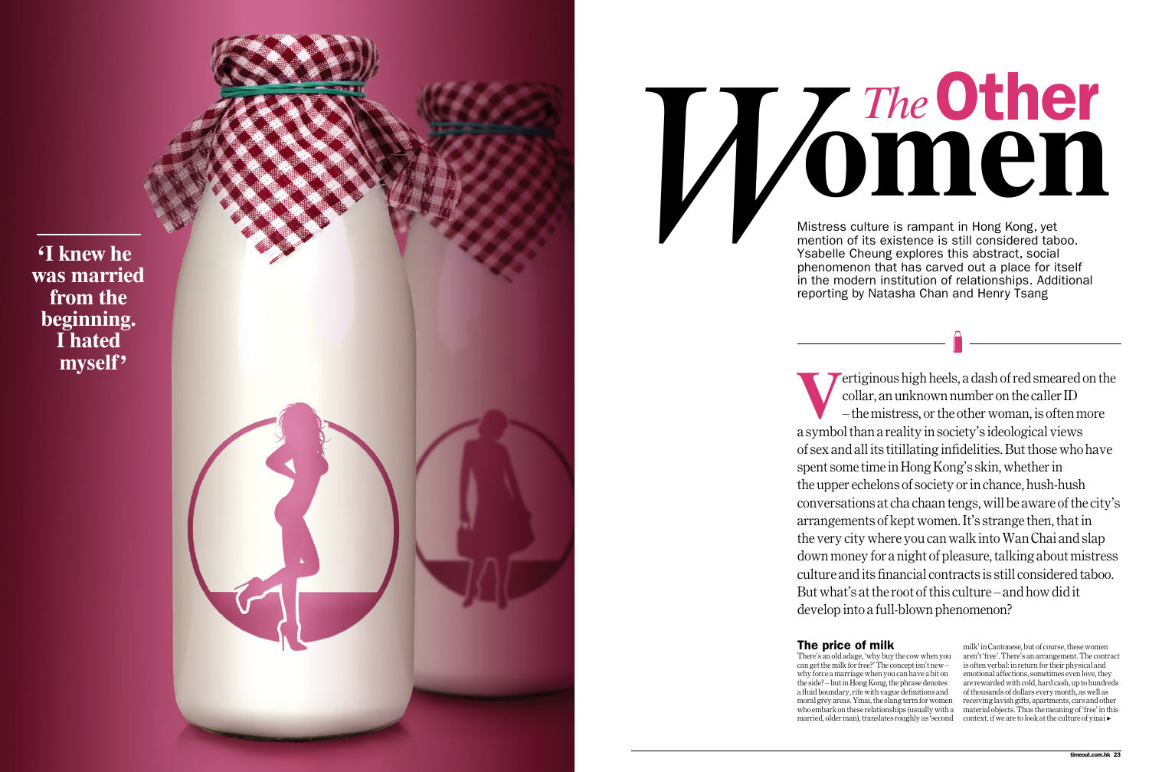

# The price of milk

There's an old adage, 'why buy the cow when you can get the milk for free?' The concept isn't new – why force a marriage when you can have a bit on the side? – but in Hong Kong, the phrase denotes a fluid boundary, rife with vague definitions and moral grey areas. Yinai, the slang term for women who embark on these relationships (usually with a married, older man), translates roughly as 'second

Mistress culture is rampant in Hong Kong, yet mention of its existence is still considered taboo. Ysabelle Cheung explores this abstract, social phenomenon that has carved out a place for itself in the modern institution of relationships. Additional reporting by Natasha Chan and Henry Tsang **omen** Mistre Mark Channel Wish

> milk' in Cantonese, but of course, these women aren't 'free'. There's an arrangement. The contract is often verbal: in return for their physical and emotional affections, sometimes even love, they are rewarded with cold, hard cash, up to hundreds of thousands of dollars every month, as well as receiving lavish gifts, apartments, cars and other material objects. Thus the meaning of 'free' in this context, if we are to look at the culture of yinai ▶

# *The*Other

**V**ertiginous high heels, a dash of red smeared on the collar, an unknown number on the caller ID – the mistress, or the other woman, is often more a symbol than a reality in society's ideological views of sex and all its titillating infidelities. But those who have spent some time in Hong Kong's skin, whether in the upper echelons of society or in chance, hush-hush conversations at cha chaan tengs, will be aware of the city's arrangements of kept women. It's strange then, that in the very city where you can walk into Wan Chai and slap down money for a night of pleasure, talking about mistress culture and its financial contracts is still considered taboo. But what's at the root of this culture – and how did it develop into a full-blown phenomenon?

**was married beginning. I knew he from the I hated myself**